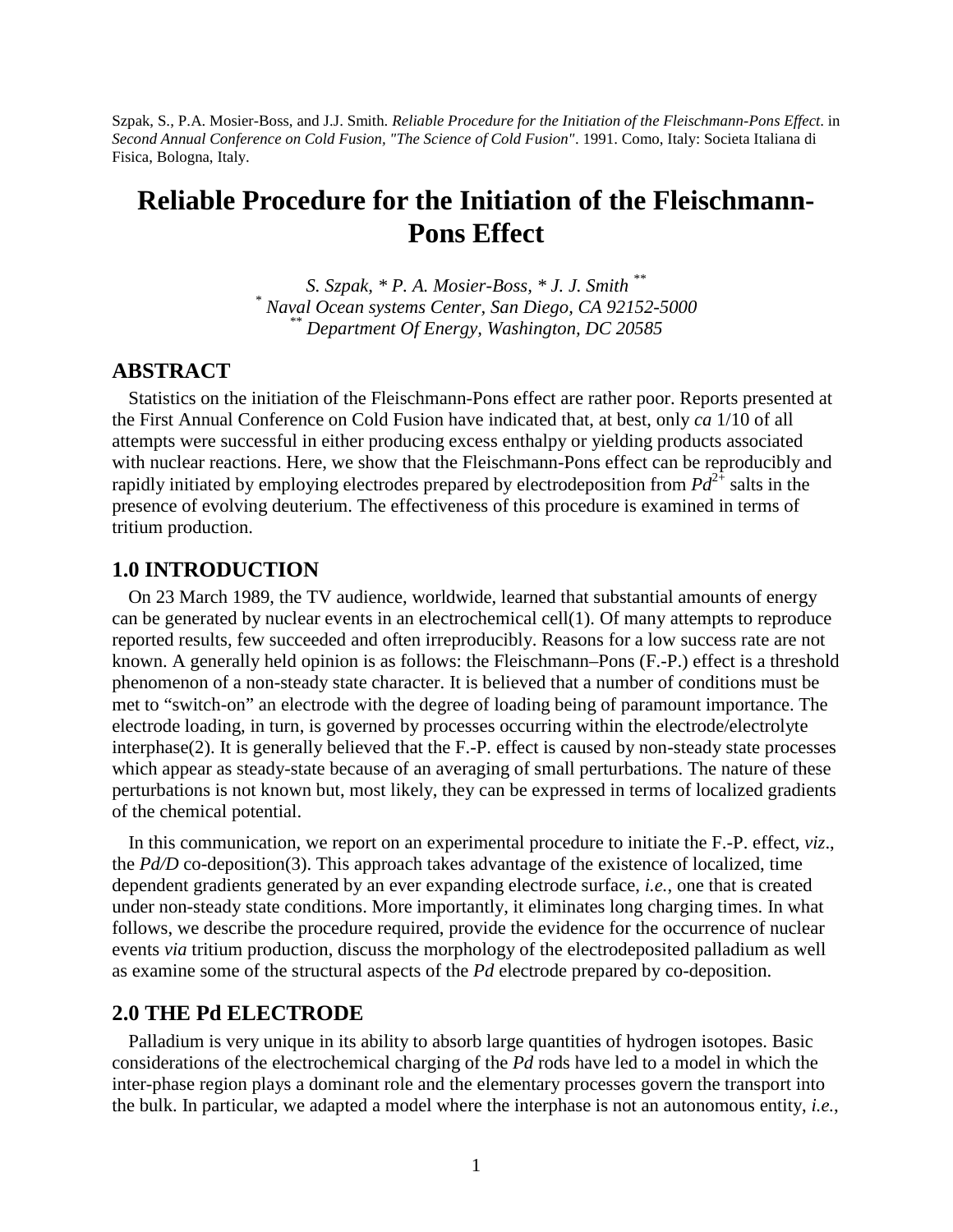Szpak, S., P.A. Mosier-Boss, and J.J. Smith. *Reliable Procedure for the Initiation of the Fleischmann-Pons Effect*. in *Second Annual Conference on Cold Fusion, "The Science of Cold Fusion"*. 1991. Como, Italy: Societa Italiana di Fisica, Bologna, Italy.

# **Reliable Procedure for the Initiation of the Fleischmann-Pons Effect**

*S. Szpak, \* P. A. Mosier-Boss, \* J. J. Smith \*\* \* Naval Ocean systems Center, San Diego, CA 92152-5000 \*\* Department Of Energy, Washington, DC 20585*

#### **ABSTRACT**

Statistics on the initiation of the Fleischmann-Pons effect are rather poor. Reports presented at the First Annual Conference on Cold Fusion have indicated that, at best, only *ca* 1/10 of all attempts were successful in either producing excess enthalpy or yielding products associated with nuclear reactions. Here, we show that the Fleischmann-Pons effect can be reproducibly and rapidly initiated by employing electrodes prepared by electrodeposition from  $Pd^{2+}$  salts in the presence of evolving deuterium. The effectiveness of this procedure is examined in terms of tritium production.

#### **1.0 INTRODUCTION**

On 23 March 1989, the TV audience, worldwide, learned that substantial amounts of energy can be generated by nuclear events in an electrochemical cell(1). Of many attempts to reproduce reported results, few succeeded and often irreproducibly. Reasons for a low success rate are not known. A generally held opinion is as follows: the Fleischmann–Pons (F.-P.) effect is a threshold phenomenon of a non-steady state character. It is believed that a number of conditions must be met to "switch-on" an electrode with the degree of loading being of paramount importance. The electrode loading, in turn, is governed by processes occurring within the electrode/electrolyte interphase(2). It is generally believed that the F.-P. effect is caused by non-steady state processes which appear as steady-state because of an averaging of small perturbations. The nature of these perturbations is not known but, most likely, they can be expressed in terms of localized gradients of the chemical potential.

In this communication, we report on an experimental procedure to initiate the F.-P. effect, *viz*., the *Pd/D* co-deposition(3). This approach takes advantage of the existence of localized, time dependent gradients generated by an ever expanding electrode surface, *i.e.*, one that is created under non-steady state conditions. More importantly, it eliminates long charging times. In what follows, we describe the procedure required, provide the evidence for the occurrence of nuclear events *via* tritium production, discuss the morphology of the electrodeposited palladium as well as examine some of the structural aspects of the *Pd* electrode prepared by co-deposition.

#### **2.0 THE Pd ELECTRODE**

Palladium is very unique in its ability to absorb large quantities of hydrogen isotopes. Basic considerations of the electrochemical charging of the *Pd* rods have led to a model in which the inter-phase region plays a dominant role and the elementary processes govern the transport into the bulk. In particular, we adapted a model where the interphase is not an autonomous entity, *i.e.*,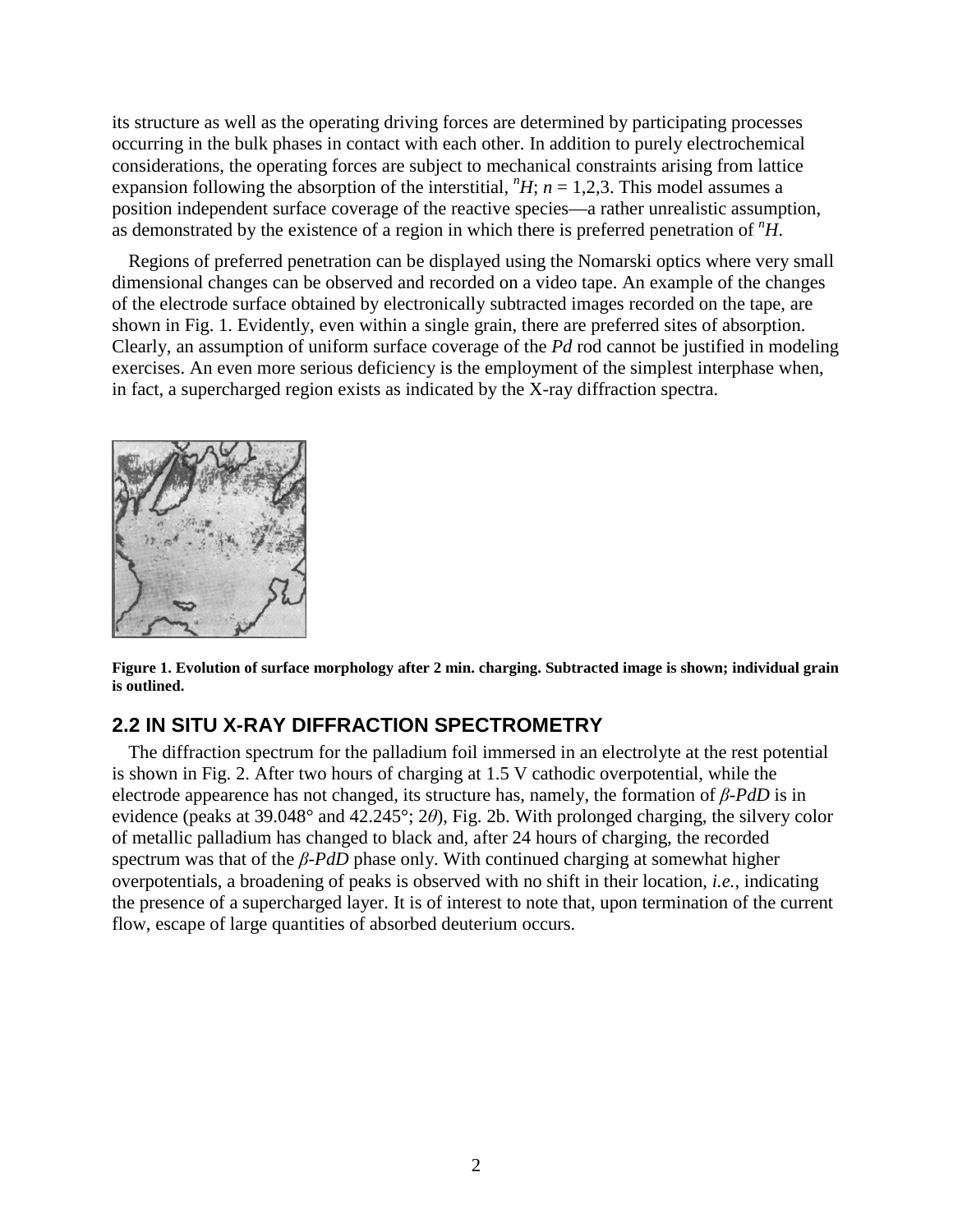its structure as well as the operating driving forces are determined by participating processes occurring in the bulk phases in contact with each other. In addition to purely electrochemical considerations, the operating forces are subject to mechanical constraints arising from lattice expansion following the absorption of the interstitial,  $H$ ;  $n = 1,2,3$ . This model assumes a position independent surface coverage of the reactive species—a rather unrealistic assumption, as demonstrated by the existence of a region in which there is preferred penetration of *<sup>n</sup>H*.

Regions of preferred penetration can be displayed using the Nomarski optics where very small dimensional changes can be observed and recorded on a video tape. An example of the changes of the electrode surface obtained by electronically subtracted images recorded on the tape, are shown in Fig. 1. Evidently, even within a single grain, there are preferred sites of absorption. Clearly, an assumption of uniform surface coverage of the *Pd* rod cannot be justified in modeling exercises. An even more serious deficiency is the employment of the simplest interphase when, in fact, a supercharged region exists as indicated by the X-ray diffraction spectra.



**Figure 1. Evolution of surface morphology after 2 min. charging. Subtracted image is shown; individual grain is outlined.**

## **2.2 IN SITU X-RAY DIFFRACTION SPECTROMETRY**

The diffraction spectrum for the palladium foil immersed in an electrolyte at the rest potential is shown in Fig. 2. After two hours of charging at 1.5 V cathodic overpotential, while the electrode appearence has not changed, its structure has, namely, the formation of *β*-*PdD* is in evidence (peaks at 39.048° and 42.245°; 2*θ*), Fig. 2b. With prolonged charging, the silvery color of metallic palladium has changed to black and, after 24 hours of charging, the recorded spectrum was that of the *β*-*PdD* phase only. With continued charging at somewhat higher overpotentials, a broadening of peaks is observed with no shift in their location, *i.e.*, indicating the presence of a supercharged layer. It is of interest to note that, upon termination of the current flow, escape of large quantities of absorbed deuterium occurs.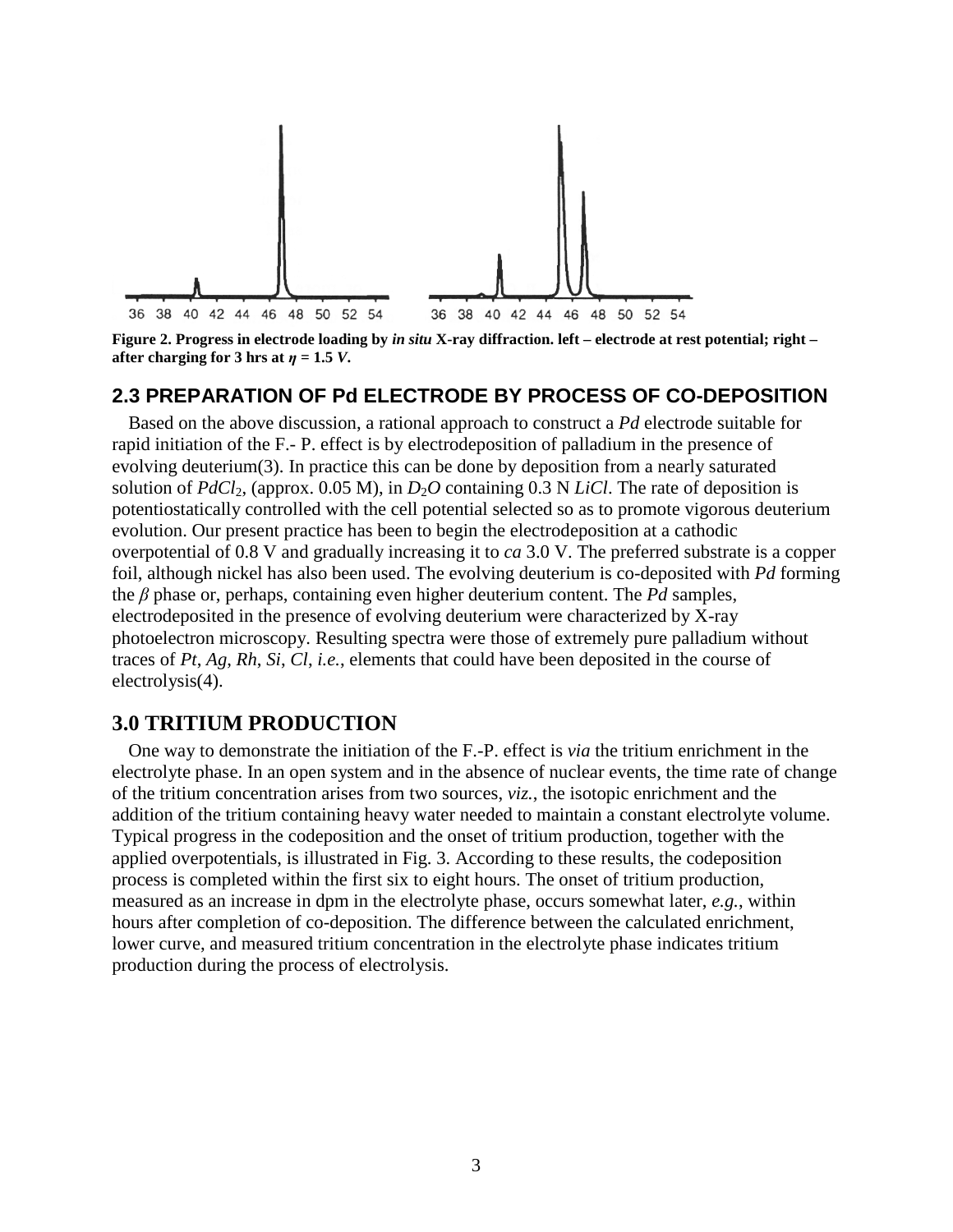

**Figure 2. Progress in electrode loading by** *in situ* **X-ray diffraction. left – electrode at rest potential; right – after charging for 3 hrs at**  $\eta = 1.5$  *V*.

## **2.3 PREPARATION OF Pd ELECTRODE BY PROCESS OF CO-DEPOSITION**

Based on the above discussion, a rational approach to construct a *Pd* electrode suitable for rapid initiation of the F.- P. effect is by electrodeposition of palladium in the presence of evolving deuterium(3). In practice this can be done by deposition from a nearly saturated solution of  $PdCl_2$ , (approx. 0.05 M), in  $D_2O$  containing 0.3 N *LiCl*. The rate of deposition is potentiostatically controlled with the cell potential selected so as to promote vigorous deuterium evolution. Our present practice has been to begin the electrodeposition at a cathodic overpotential of 0.8 V and gradually increasing it to *ca* 3.0 V. The preferred substrate is a copper foil, although nickel has also been used. The evolving deuterium is co-deposited with *Pd* forming the *β* phase or, perhaps, containing even higher deuterium content. The *Pd* samples, electrodeposited in the presence of evolving deuterium were characterized by X-ray photoelectron microscopy. Resulting spectra were those of extremely pure palladium without traces of *Pt*, *Ag*, *Rh*, *Si*, *Cl*, *i.e.*, elements that could have been deposited in the course of electrolysis(4).

#### **3.0 TRITIUM PRODUCTION**

One way to demonstrate the initiation of the F.-P. effect is *via* the tritium enrichment in the electrolyte phase. In an open system and in the absence of nuclear events, the time rate of change of the tritium concentration arises from two sources, *viz.*, the isotopic enrichment and the addition of the tritium containing heavy water needed to maintain a constant electrolyte volume. Typical progress in the codeposition and the onset of tritium production, together with the applied overpotentials, is illustrated in Fig. 3. According to these results, the codeposition process is completed within the first six to eight hours. The onset of tritium production, measured as an increase in dpm in the electrolyte phase, occurs somewhat later, *e.g.*, within hours after completion of co-deposition. The difference between the calculated enrichment, lower curve, and measured tritium concentration in the electrolyte phase indicates tritium production during the process of electrolysis.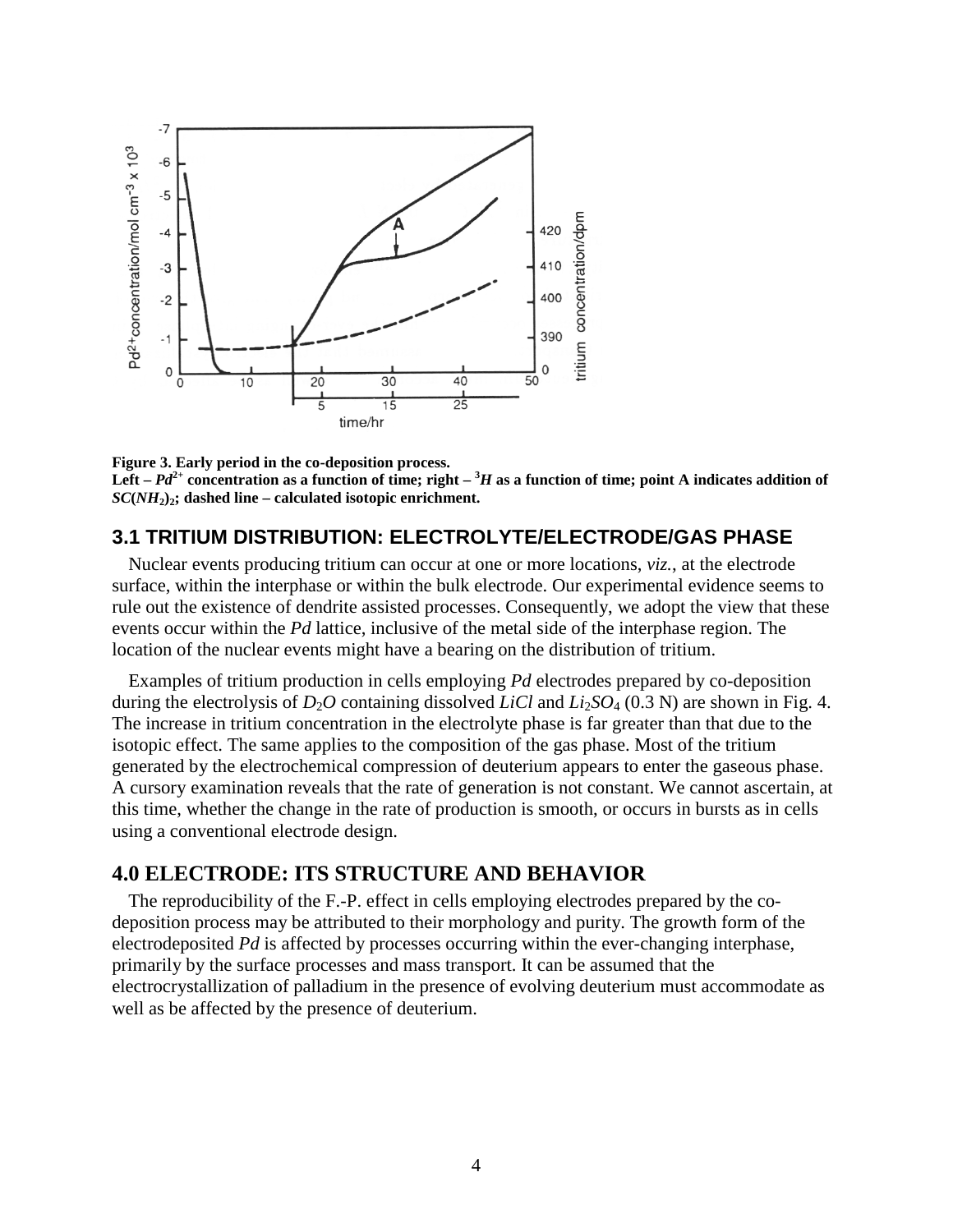

**Figure 3. Early period in the co-deposition process.** Left  $-Pd^{2+}$  concentration as a function of time; right  $-{}^{3}H$  as a function of time; point A indicates addition of  $SC(NH<sub>2</sub>)$ <sup>2</sup>; dashed line – calculated isotopic enrichment.

#### **3.1 TRITIUM DISTRIBUTION: ELECTROLYTE/ELECTRODE/GAS PHASE**

Nuclear events producing tritium can occur at one or more locations, *viz.*, at the electrode surface, within the interphase or within the bulk electrode. Our experimental evidence seems to rule out the existence of dendrite assisted processes. Consequently, we adopt the view that these events occur within the *Pd* lattice, inclusive of the metal side of the interphase region. The location of the nuclear events might have a bearing on the distribution of tritium.

Examples of tritium production in cells employing *Pd* electrodes prepared by co-deposition during the electrolysis of  $D_2O$  containing dissolved *LiCl* and  $Li_2SO_4$  (0.3 N) are shown in Fig. 4. The increase in tritium concentration in the electrolyte phase is far greater than that due to the isotopic effect. The same applies to the composition of the gas phase. Most of the tritium generated by the electrochemical compression of deuterium appears to enter the gaseous phase. A cursory examination reveals that the rate of generation is not constant. We cannot ascertain, at this time, whether the change in the rate of production is smooth, or occurs in bursts as in cells using a conventional electrode design.

#### **4.0 ELECTRODE: ITS STRUCTURE AND BEHAVIOR**

The reproducibility of the F.-P. effect in cells employing electrodes prepared by the codeposition process may be attributed to their morphology and purity. The growth form of the electrodeposited *Pd* is affected by processes occurring within the ever-changing interphase, primarily by the surface processes and mass transport. It can be assumed that the electrocrystallization of palladium in the presence of evolving deuterium must accommodate as well as be affected by the presence of deuterium.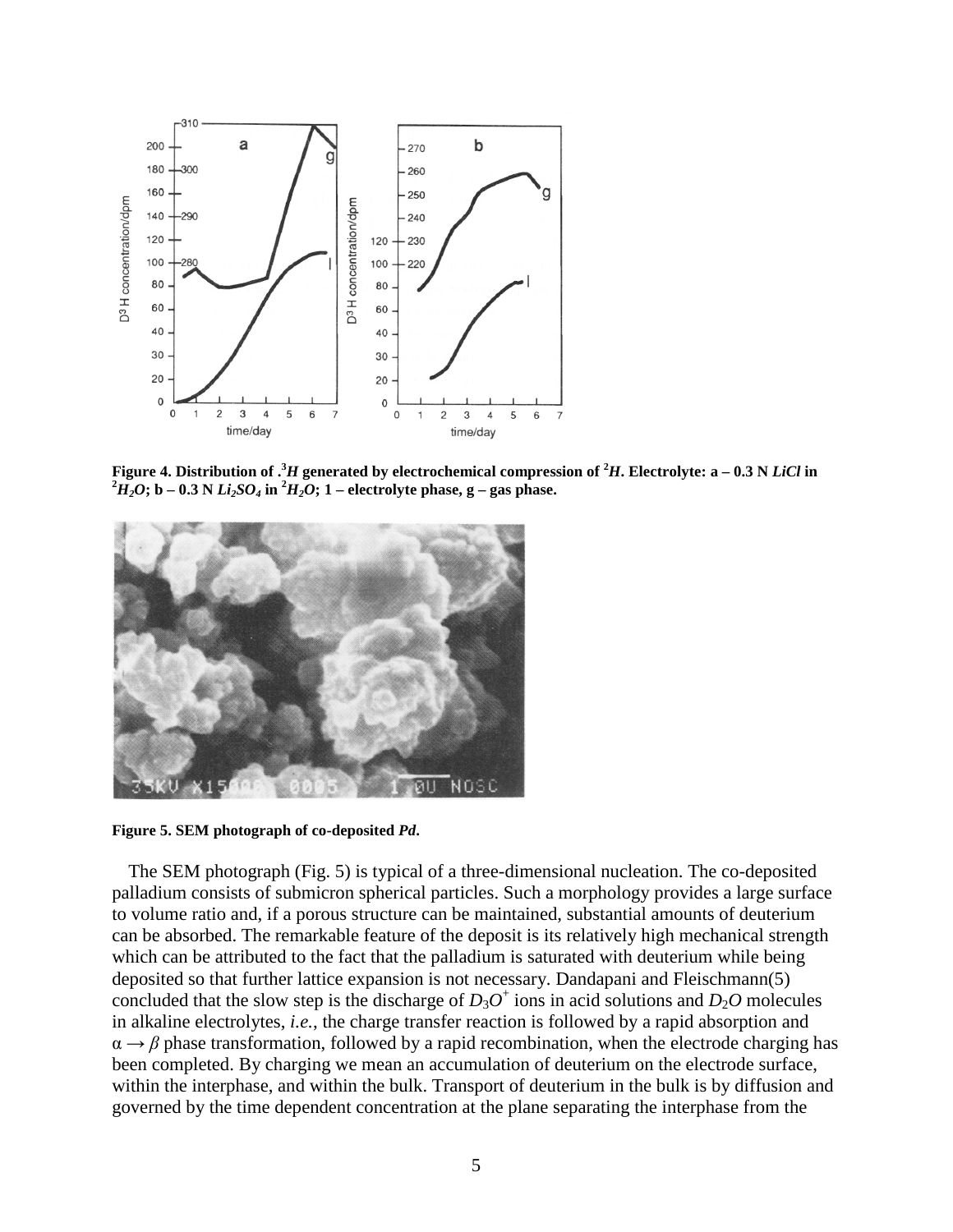

**Figure 4. Distribution of . <sup>3</sup>***H* **generated by electrochemical compression of <sup>2</sup>***H***. Electrolyte: a – 0.3 N** *LiCl* **in**  $^{2}H_{2}O$ ; b – 0.3 N  $Li_{2}SO_{4}$  in  $^{2}H_{2}O$ ; 1 – electrolyte phase, g – gas phase.



**Figure 5. SEM photograph of co-deposited** *Pd***.**

The SEM photograph (Fig. 5) is typical of a three-dimensional nucleation. The co-deposited palladium consists of submicron spherical particles. Such a morphology provides a large surface to volume ratio and, if a porous structure can be maintained, substantial amounts of deuterium can be absorbed. The remarkable feature of the deposit is its relatively high mechanical strength which can be attributed to the fact that the palladium is saturated with deuterium while being deposited so that further lattice expansion is not necessary. Dandapani and Fleischmann(5) concluded that the slow step is the discharge of  $D_3O^+$  ions in acid solutions and  $D_2O$  molecules in alkaline electrolytes, *i.e.*, the charge transfer reaction is followed by a rapid absorption and  $\alpha \rightarrow \beta$  phase transformation, followed by a rapid recombination, when the electrode charging has been completed. By charging we mean an accumulation of deuterium on the electrode surface, within the interphase, and within the bulk. Transport of deuterium in the bulk is by diffusion and governed by the time dependent concentration at the plane separating the interphase from the